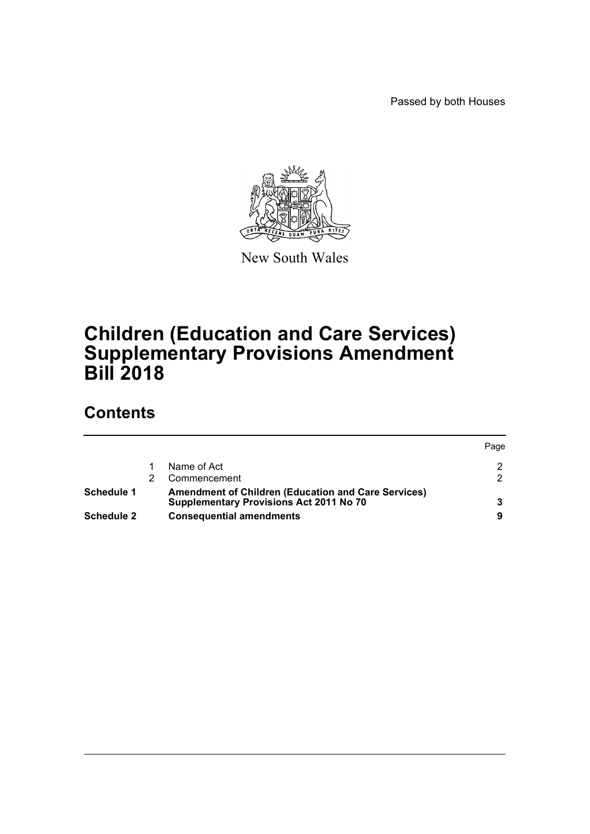Passed by both Houses



New South Wales

# **Children (Education and Care Services) Supplementary Provisions Amendment Bill 2018**

# **Contents**

|            |                                                                                                              | Page |
|------------|--------------------------------------------------------------------------------------------------------------|------|
|            | Name of Act                                                                                                  |      |
|            | Commencement                                                                                                 |      |
| Schedule 1 | <b>Amendment of Children (Education and Care Services)</b><br><b>Supplementary Provisions Act 2011 No 70</b> |      |
| Schedule 2 | <b>Consequential amendments</b>                                                                              | 9    |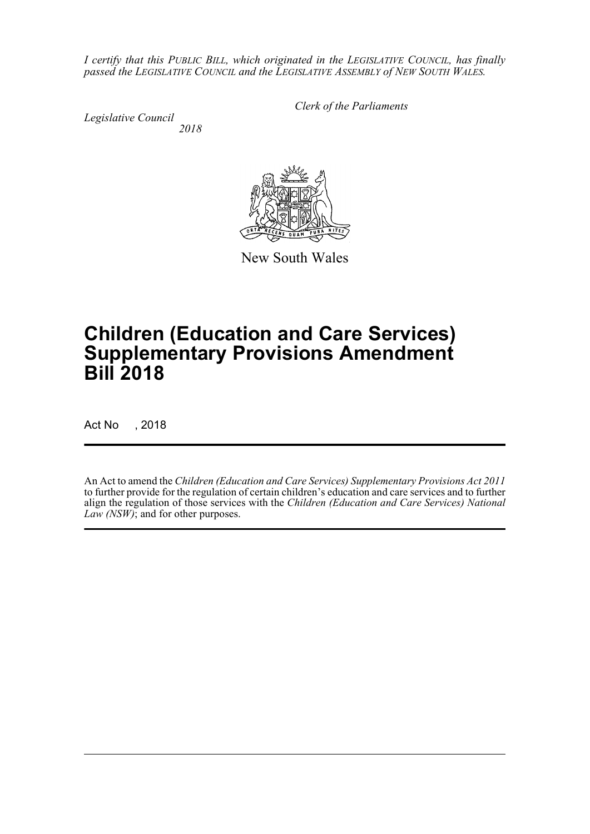*I certify that this PUBLIC BILL, which originated in the LEGISLATIVE COUNCIL, has finally passed the LEGISLATIVE COUNCIL and the LEGISLATIVE ASSEMBLY of NEW SOUTH WALES.*

*Legislative Council 2018* *Clerk of the Parliaments*

New South Wales

# **Children (Education and Care Services) Supplementary Provisions Amendment Bill 2018**

Act No , 2018

An Act to amend the *Children (Education and Care Services) Supplementary Provisions Act 2011* to further provide for the regulation of certain children's education and care services and to further align the regulation of those services with the *Children (Education and Care Services) National Law (NSW)*; and for other purposes.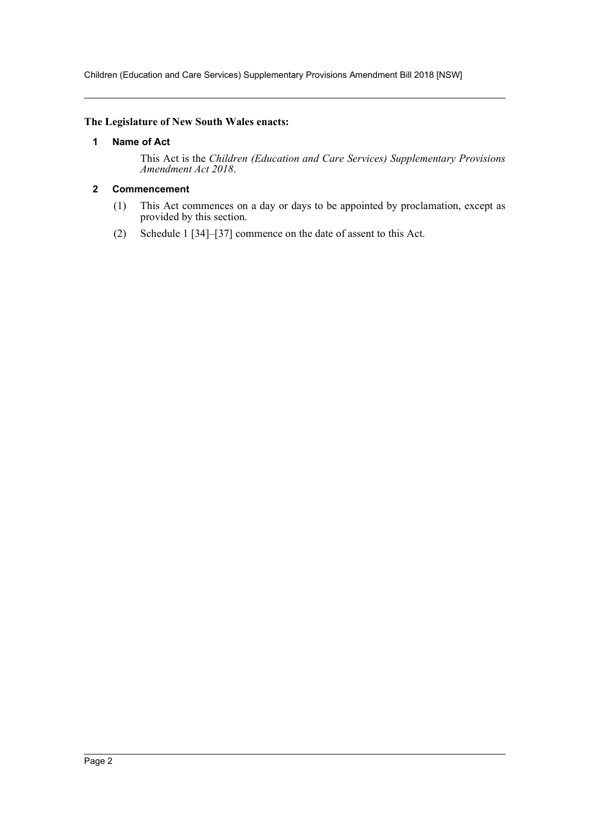Children (Education and Care Services) Supplementary Provisions Amendment Bill 2018 [NSW]

# <span id="page-2-0"></span>**The Legislature of New South Wales enacts:**

## **1 Name of Act**

This Act is the *Children (Education and Care Services) Supplementary Provisions Amendment Act 2018*.

# <span id="page-2-1"></span>**2 Commencement**

- (1) This Act commences on a day or days to be appointed by proclamation, except as provided by this section.
- (2) Schedule 1 [34]–[37] commence on the date of assent to this Act.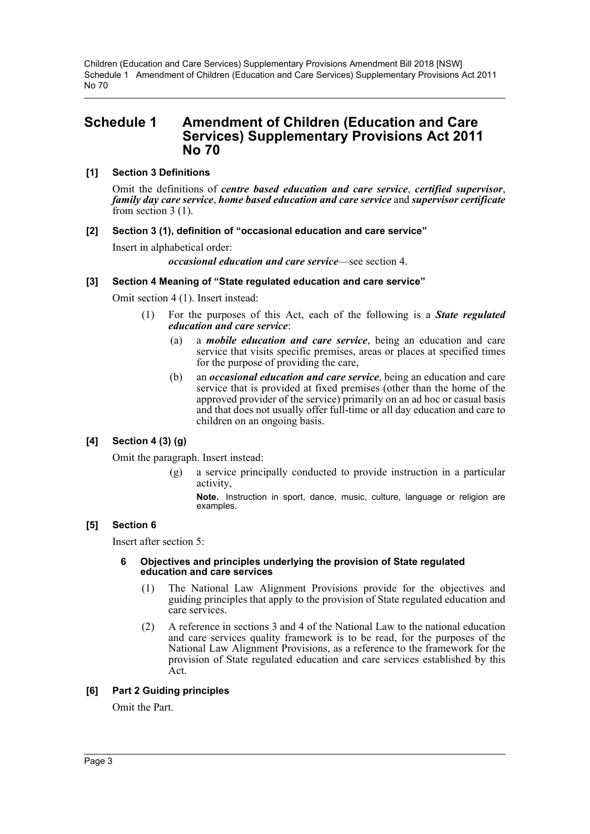# <span id="page-3-0"></span>**Schedule 1 Amendment of Children (Education and Care Services) Supplementary Provisions Act 2011 No 70**

# **[1] Section 3 Definitions**

Omit the definitions of *centre based education and care service*, *certified supervisor*, *family day care service*, *home based education and care service* and *supervisor certificate* from section 3 (1).

## **[2] Section 3 (1), definition of "occasional education and care service"**

Insert in alphabetical order:

*occasional education and care service*—see section 4.

## **[3] Section 4 Meaning of "State regulated education and care service"**

Omit section 4 (1). Insert instead:

- (1) For the purposes of this Act, each of the following is a *State regulated education and care service*:
	- (a) a *mobile education and care service*, being an education and care service that visits specific premises, areas or places at specified times for the purpose of providing the care,
	- (b) an *occasional education and care service*, being an education and care service that is provided at fixed premises (other than the home of the approved provider of the service) primarily on an ad hoc or casual basis and that does not usually offer full-time or all day education and care to children on an ongoing basis.

## **[4] Section 4 (3) (g)**

Omit the paragraph. Insert instead:

(g) a service principally conducted to provide instruction in a particular activity,

**Note.** Instruction in sport, dance, music, culture, language or religion are examples.

# **[5] Section 6**

Insert after section 5:

#### **6 Objectives and principles underlying the provision of State regulated education and care services**

- (1) The National Law Alignment Provisions provide for the objectives and guiding principles that apply to the provision of State regulated education and care services.
- (2) A reference in sections 3 and 4 of the National Law to the national education and care services quality framework is to be read, for the purposes of the National Law Alignment Provisions, as a reference to the framework for the provision of State regulated education and care services established by this Act.

## **[6] Part 2 Guiding principles**

Omit the Part.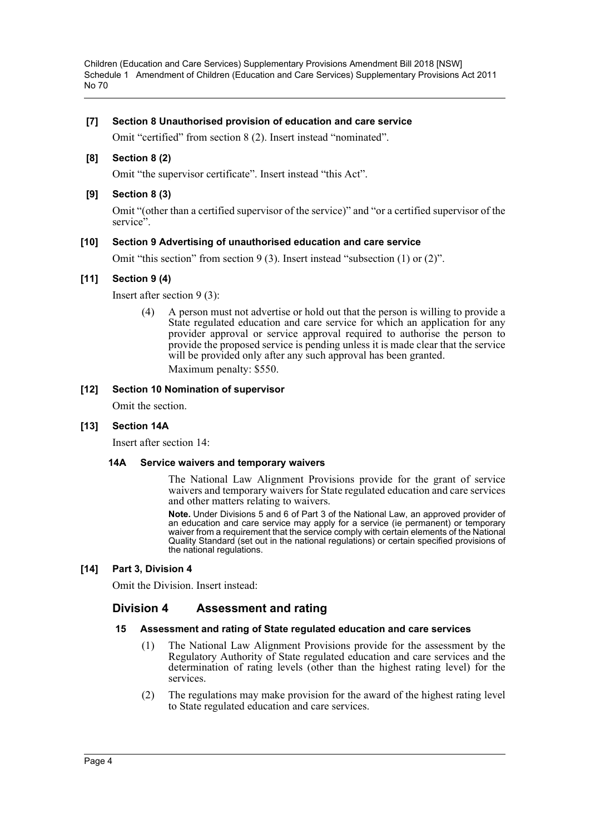# **[7] Section 8 Unauthorised provision of education and care service**

Omit "certified" from section 8 (2). Insert instead "nominated".

# **[8] Section 8 (2)**

Omit "the supervisor certificate". Insert instead "this Act".

# **[9] Section 8 (3)**

Omit "(other than a certified supervisor of the service)" and "or a certified supervisor of the service".

# **[10] Section 9 Advertising of unauthorised education and care service**

Omit "this section" from section 9 (3). Insert instead "subsection (1) or (2)".

# **[11] Section 9 (4)**

Insert after section 9 (3):

(4) A person must not advertise or hold out that the person is willing to provide a State regulated education and care service for which an application for any provider approval or service approval required to authorise the person to provide the proposed service is pending unless it is made clear that the service will be provided only after any such approval has been granted. Maximum penalty: \$550.

## **[12] Section 10 Nomination of supervisor**

Omit the section.

## **[13] Section 14A**

Insert after section 14:

## **14A Service waivers and temporary waivers**

The National Law Alignment Provisions provide for the grant of service waivers and temporary waivers for State regulated education and care services and other matters relating to waivers.

**Note.** Under Divisions 5 and 6 of Part 3 of the National Law, an approved provider of an education and care service may apply for a service (ie permanent) or temporary waiver from a requirement that the service comply with certain elements of the National Quality Standard (set out in the national regulations) or certain specified provisions of the national regulations.

## **[14] Part 3, Division 4**

Omit the Division. Insert instead:

# **Division 4 Assessment and rating**

## **15 Assessment and rating of State regulated education and care services**

- (1) The National Law Alignment Provisions provide for the assessment by the Regulatory Authority of State regulated education and care services and the determination of rating levels (other than the highest rating level) for the services.
- (2) The regulations may make provision for the award of the highest rating level to State regulated education and care services.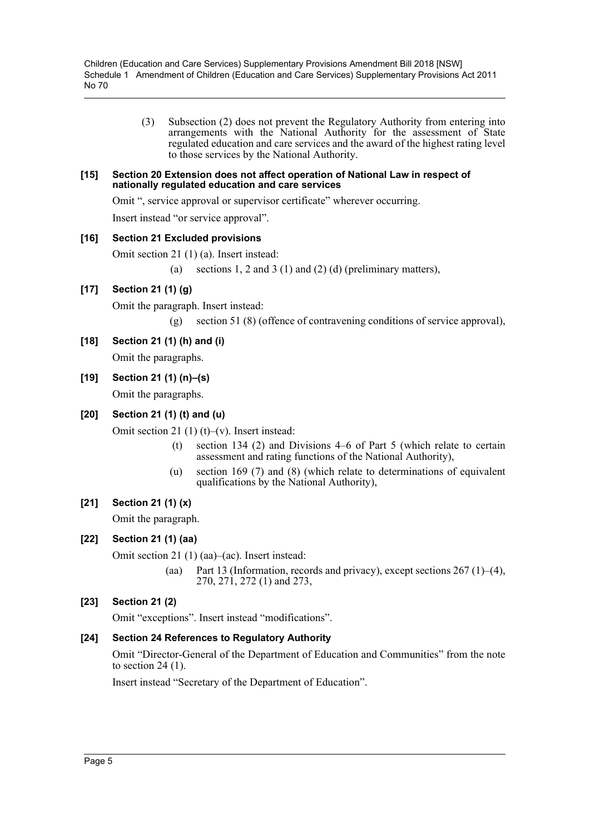> (3) Subsection (2) does not prevent the Regulatory Authority from entering into arrangements with the National Authority for the assessment of State regulated education and care services and the award of the highest rating level to those services by the National Authority.

#### **[15] Section 20 Extension does not affect operation of National Law in respect of nationally regulated education and care services**

Omit ", service approval or supervisor certificate" wherever occurring.

Insert instead "or service approval".

# **[16] Section 21 Excluded provisions**

Omit section 21 (1) (a). Insert instead:

(a) sections 1, 2 and 3 (1) and (2) (d) (preliminary matters),

# **[17] Section 21 (1) (g)**

Omit the paragraph. Insert instead:

(g) section 51 (8) (offence of contravening conditions of service approval),

**[18] Section 21 (1) (h) and (i)** Omit the paragraphs.

**[19] Section 21 (1) (n)–(s)**

Omit the paragraphs.

# **[20] Section 21 (1) (t) and (u)**

Omit section 21 (1) (t)–(v). Insert instead:

- (t) section 134 (2) and Divisions 4–6 of Part 5 (which relate to certain assessment and rating functions of the National Authority),
- (u) section 169 (7) and (8) (which relate to determinations of equivalent qualifications by the National Authority),

# **[21] Section 21 (1) (x)**

Omit the paragraph.

# **[22] Section 21 (1) (aa)**

Omit section 21 (1) (aa)–(ac). Insert instead:

(aa) Part 13 (Information, records and privacy), except sections  $267(1)–(4)$ , 270, 271, 272 (1) and 273,

# **[23] Section 21 (2)**

Omit "exceptions". Insert instead "modifications".

# **[24] Section 24 References to Regulatory Authority**

Omit "Director-General of the Department of Education and Communities" from the note to section 24 (1).

Insert instead "Secretary of the Department of Education".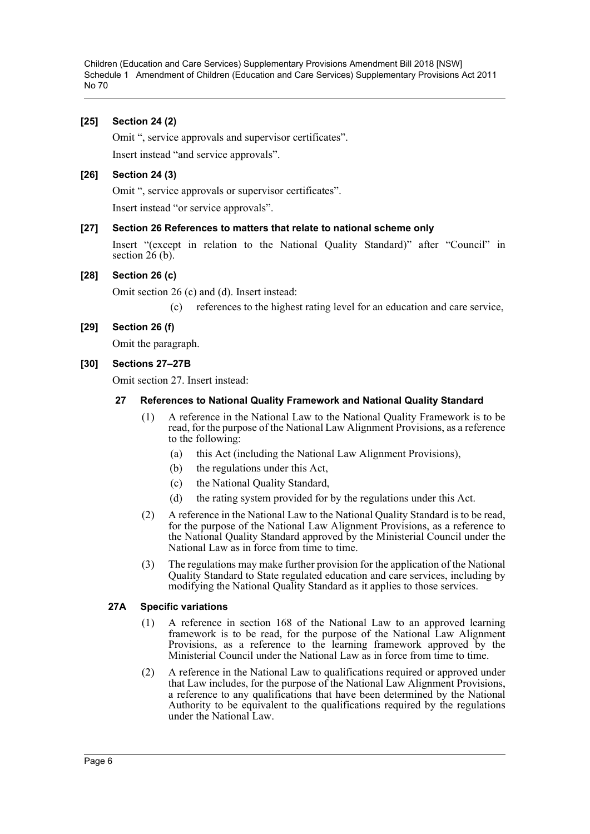# **[25] Section 24 (2)**

Omit ", service approvals and supervisor certificates".

Insert instead "and service approvals".

### **[26] Section 24 (3)**

Omit ", service approvals or supervisor certificates".

Insert instead "or service approvals".

#### **[27] Section 26 References to matters that relate to national scheme only**

Insert "(except in relation to the National Quality Standard)" after "Council" in section  $26(b)$ .

#### **[28] Section 26 (c)**

Omit section 26 (c) and (d). Insert instead:

(c) references to the highest rating level for an education and care service,

#### **[29] Section 26 (f)**

Omit the paragraph.

#### **[30] Sections 27–27B**

Omit section 27. Insert instead:

#### **27 References to National Quality Framework and National Quality Standard**

- (1) A reference in the National Law to the National Quality Framework is to be read, for the purpose of the National Law Alignment Provisions, as a reference to the following:
	- (a) this Act (including the National Law Alignment Provisions),
	- (b) the regulations under this Act,
	- (c) the National Quality Standard,
	- (d) the rating system provided for by the regulations under this Act.
- (2) A reference in the National Law to the National Quality Standard is to be read, for the purpose of the National Law Alignment Provisions, as a reference to the National Quality Standard approved by the Ministerial Council under the National Law as in force from time to time.
- (3) The regulations may make further provision for the application of the National Quality Standard to State regulated education and care services, including by modifying the National Quality Standard as it applies to those services.

#### **27A Specific variations**

- (1) A reference in section 168 of the National Law to an approved learning framework is to be read, for the purpose of the National Law Alignment Provisions, as a reference to the learning framework approved by the Ministerial Council under the National Law as in force from time to time.
- (2) A reference in the National Law to qualifications required or approved under that Law includes, for the purpose of the National Law Alignment Provisions, a reference to any qualifications that have been determined by the National Authority to be equivalent to the qualifications required by the regulations under the National Law.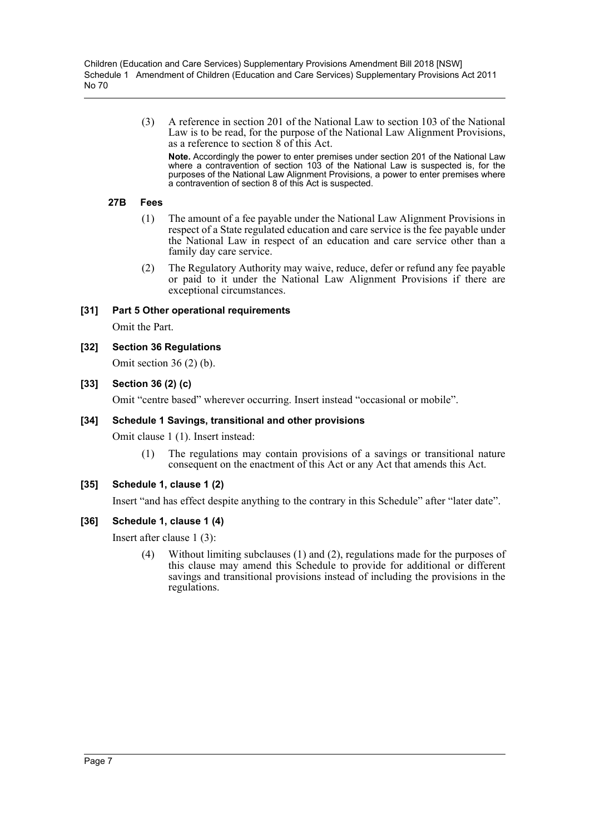> (3) A reference in section 201 of the National Law to section 103 of the National Law is to be read, for the purpose of the National Law Alignment Provisions, as a reference to section 8 of this Act.

**Note.** Accordingly the power to enter premises under section 201 of the National Law where a contravention of section 103 of the National Law is suspected is, for the purposes of the National Law Alignment Provisions, a power to enter premises where a contravention of section 8 of this Act is suspected.

#### **27B Fees**

- (1) The amount of a fee payable under the National Law Alignment Provisions in respect of a State regulated education and care service is the fee payable under the National Law in respect of an education and care service other than a family day care service.
- (2) The Regulatory Authority may waive, reduce, defer or refund any fee payable or paid to it under the National Law Alignment Provisions if there are exceptional circumstances.

# **[31] Part 5 Other operational requirements**

Omit the Part.

## **[32] Section 36 Regulations**

Omit section 36 (2) (b).

# **[33] Section 36 (2) (c)**

Omit "centre based" wherever occurring. Insert instead "occasional or mobile".

## **[34] Schedule 1 Savings, transitional and other provisions**

Omit clause 1 (1). Insert instead:

(1) The regulations may contain provisions of a savings or transitional nature consequent on the enactment of this Act or any Act that amends this Act.

## **[35] Schedule 1, clause 1 (2)**

Insert "and has effect despite anything to the contrary in this Schedule" after "later date".

## **[36] Schedule 1, clause 1 (4)**

Insert after clause 1 (3):

(4) Without limiting subclauses (1) and (2), regulations made for the purposes of this clause may amend this Schedule to provide for additional or different savings and transitional provisions instead of including the provisions in the regulations.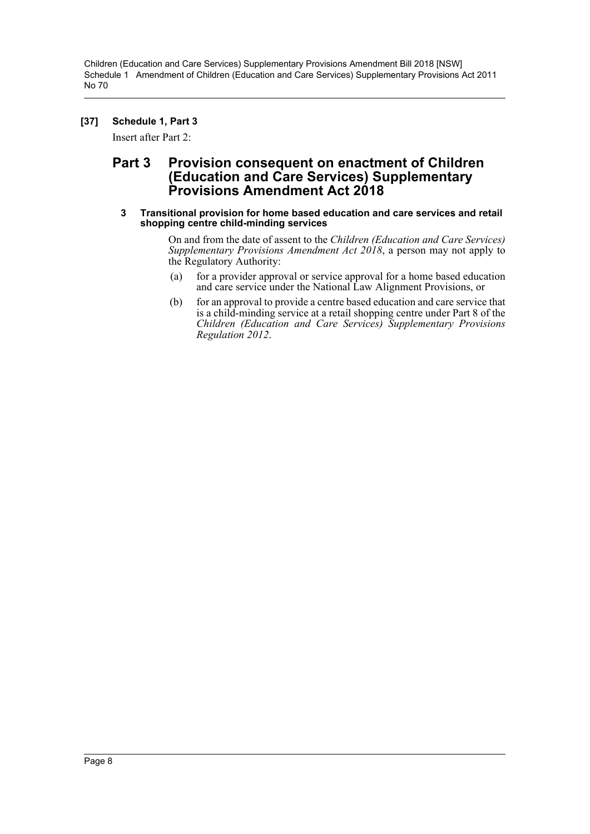# **[37] Schedule 1, Part 3**

Insert after Part 2:

# **Part 3 Provision consequent on enactment of Children (Education and Care Services) Supplementary Provisions Amendment Act 2018**

#### **3 Transitional provision for home based education and care services and retail shopping centre child-minding services**

On and from the date of assent to the *Children (Education and Care Services) Supplementary Provisions Amendment Act 2018*, a person may not apply to the Regulatory Authority:

- (a) for a provider approval or service approval for a home based education and care service under the National Law Alignment Provisions, or
- (b) for an approval to provide a centre based education and care service that is a child-minding service at a retail shopping centre under Part 8 of the *Children (Education and Care Services) Supplementary Provisions Regulation 2012*.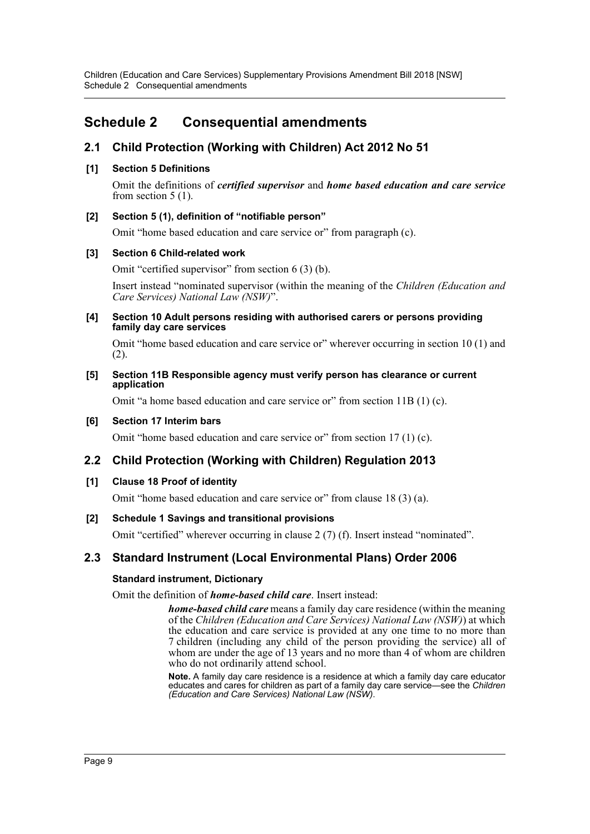Children (Education and Care Services) Supplementary Provisions Amendment Bill 2018 [NSW] Schedule 2 Consequential amendments

# <span id="page-9-0"></span>**Schedule 2 Consequential amendments**

# **2.1 Child Protection (Working with Children) Act 2012 No 51**

# **[1] Section 5 Definitions**

Omit the definitions of *certified supervisor* and *home based education and care service* from section 5 (1).

# **[2] Section 5 (1), definition of "notifiable person"**

Omit "home based education and care service or" from paragraph (c).

## **[3] Section 6 Child-related work**

Omit "certified supervisor" from section 6 (3) (b).

Insert instead "nominated supervisor (within the meaning of the *Children (Education and Care Services) National Law (NSW)*".

#### **[4] Section 10 Adult persons residing with authorised carers or persons providing family day care services**

Omit "home based education and care service or" wherever occurring in section 10 (1) and (2).

#### **[5] Section 11B Responsible agency must verify person has clearance or current application**

Omit "a home based education and care service or" from section 11B (1) (c).

## **[6] Section 17 Interim bars**

Omit "home based education and care service or" from section 17 (1) (c).

# **2.2 Child Protection (Working with Children) Regulation 2013**

## **[1] Clause 18 Proof of identity**

Omit "home based education and care service or" from clause 18 (3) (a).

## **[2] Schedule 1 Savings and transitional provisions**

Omit "certified" wherever occurring in clause 2 (7) (f). Insert instead "nominated".

# **2.3 Standard Instrument (Local Environmental Plans) Order 2006**

## **Standard instrument, Dictionary**

Omit the definition of *home-based child care*. Insert instead:

*home-based child care* means a family day care residence (within the meaning of the *Children (Education and Care Services) National Law (NSW)*) at which the education and care service is provided at any one time to no more than 7 children (including any child of the person providing the service) all of whom are under the age of 13 years and no more than 4 of whom are children who do not ordinarily attend school.

**Note.** A family day care residence is a residence at which a family day care educator educates and cares for children as part of a family day care service—see the *Children (Education and Care Services) National Law (NSW)*.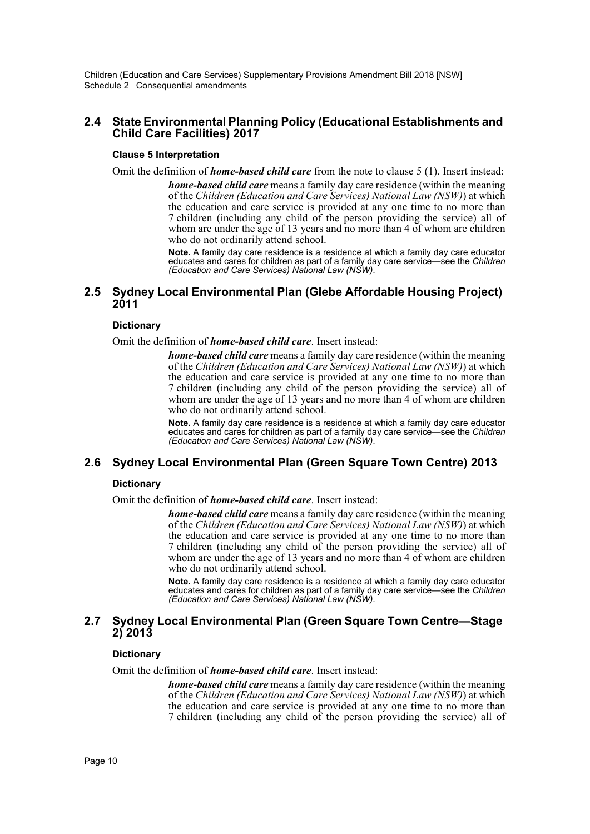# **2.4 State Environmental Planning Policy (Educational Establishments and Child Care Facilities) 2017**

# **Clause 5 Interpretation**

Omit the definition of *home-based child care* from the note to clause 5 (1). Insert instead:

*home-based child care* means a family day care residence (within the meaning of the *Children (Education and Care Services) National Law (NSW)*) at which the education and care service is provided at any one time to no more than 7 children (including any child of the person providing the service) all of whom are under the age of 13 years and no more than 4 of whom are children who do not ordinarily attend school.

**Note.** A family day care residence is a residence at which a family day care educator educates and cares for children as part of a family day care service—see the *Children (Education and Care Services) National Law (NSW)*.

# **2.5 Sydney Local Environmental Plan (Glebe Affordable Housing Project) 2011**

# **Dictionary**

Omit the definition of *home-based child care*. Insert instead:

*home-based child care* means a family day care residence (within the meaning of the *Children (Education and Care Services) National Law (NSW)*) at which the education and care service is provided at any one time to no more than 7 children (including any child of the person providing the service) all of whom are under the age of 13 years and no more than 4 of whom are children who do not ordinarily attend school.

**Note.** A family day care residence is a residence at which a family day care educator educates and cares for children as part of a family day care service—see the *Children (Education and Care Services) National Law (NSW)*.

# **2.6 Sydney Local Environmental Plan (Green Square Town Centre) 2013**

# **Dictionary**

Omit the definition of *home-based child care*. Insert instead:

*home-based child care* means a family day care residence (within the meaning of the *Children (Education and Care Services) National Law (NSW)*) at which the education and care service is provided at any one time to no more than 7 children (including any child of the person providing the service) all of whom are under the age of 13 years and no more than 4 of whom are children who do not ordinarily attend school.

**Note.** A family day care residence is a residence at which a family day care educator educates and cares for children as part of a family day care service—see the *Children (Education and Care Services) National Law (NSW)*.

# **2.7 Sydney Local Environmental Plan (Green Square Town Centre—Stage 2) 2013**

## **Dictionary**

Omit the definition of *home-based child care*. Insert instead:

*home-based child care* means a family day care residence (within the meaning of the *Children (Education and Care Services) National Law (NSW)*) at which the education and care service is provided at any one time to no more than 7 children (including any child of the person providing the service) all of